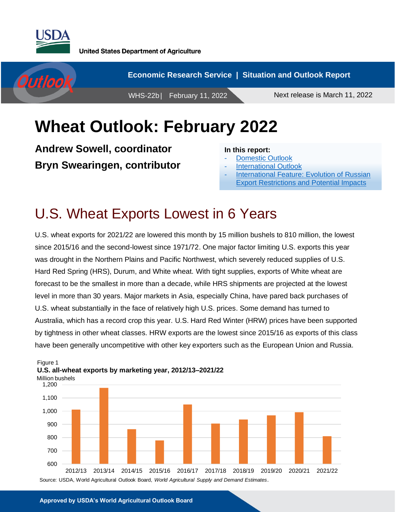



## **Wheat Outlook: February 2022**

**Andrew Sowell, coordinator Bryn Swearingen, contributor**

#### **In this report:**

- [Domestic Outlook](#page-1-0)
- **International [Outlook](#page-6-0)**
- [International Feature: Evolution of Russian](#page-10-0) [Export Restrictions and Potential Impacts](#page-10-0)

## U.S. Wheat Exports Lowest in 6 Years

U.S. wheat exports for 2021/22 are lowered this month by 15 million bushels to 810 million, the lowest since 2015/16 and the second-lowest since 1971/72. One major factor limiting U.S. exports this year was drought in the Northern Plains and Pacific Northwest, which severely reduced supplies of U.S. Hard Red Spring (HRS), Durum, and White wheat. With tight supplies, exports of White wheat are forecast to be the smallest in more than a decade, while HRS shipments are projected at the lowest level in more than 30 years. Major markets in Asia, especially China, have pared back purchases of U.S. wheat substantially in the face of relatively high U.S. prices. Some demand has turned to Australia, which has a record crop this year. U.S. Hard Red Winter (HRW) prices have been supported by tightness in other wheat classes. HRW exports are the lowest since 2015/16 as exports of this class have been generally uncompetitive with other key exporters such as the European Union and Russia.



#### Million bushels Figure 1 **U.S. all-wheat exports by marketing year, 2012/13–2021/22**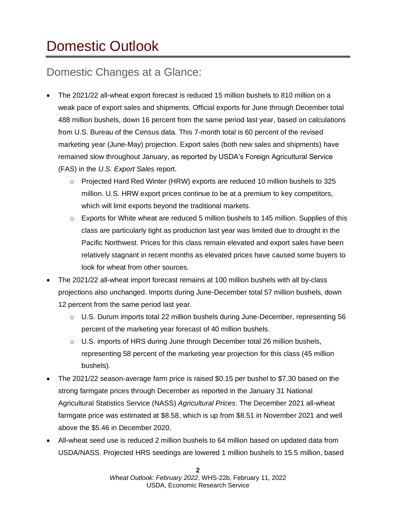# <span id="page-1-0"></span>Domestic Outlook

### Domestic Changes at a Glance:

- The 2021/22 all-wheat export forecast is reduced 15 million bushels to 810 million on a weak pace of export sales and shipments. Official exports for June through December total 488 million bushels, down 16 percent from the same period last year, based on calculations from U.S. Bureau of the Census data. This 7-month total is 60 percent of the revised marketing year (June-May) projection. Export sales (both new sales and shipments) have remained slow throughout January, as reported by USDA's Foreign Agricultural Service (FAS) in the *U.S. Export Sales* report.
	- o Projected Hard Red Winter (HRW) exports are reduced 10 million bushels to 325 million. U.S. HRW export prices continue to be at a premium to key competitors, which will limit exports beyond the traditional markets.
	- $\circ$  Exports for White wheat are reduced 5 million bushels to 145 million. Supplies of this class are particularly tight as production last year was limited due to drought in the Pacific Northwest. Prices for this class remain elevated and export sales have been relatively stagnant in recent months as elevated prices have caused some buyers to look for wheat from other sources.
- The 2021/22 all-wheat import forecast remains at 100 million bushels with all by-class projections also unchanged. Imports during June-December total 57 million bushels, down 12 percent from the same period last year.
	- $\circ$  U.S. Durum imports total 22 million bushels during June-December, representing 56 percent of the marketing year forecast of 40 million bushels.
	- $\circ$  U.S. imports of HRS during June through December total 26 million bushels, representing 58 percent of the marketing year projection for this class (45 million bushels).
- The 2021/22 season-average farm price is raised \$0.15 per bushel to \$7.30 based on the strong farmgate prices through December as reported in the January 31 National Agricultural Statistics Service (NASS) *Agricultural Prices*. The December 2021 all-wheat farmgate price was estimated at \$8.58, which is up from \$8.51 in November 2021 and well above the \$5.46 in December 2020.
- All-wheat seed use is reduced 2 million bushels to 64 million based on updated data from USDA/NASS. Projected HRS seedings are lowered 1 million bushels to 15.5 million, based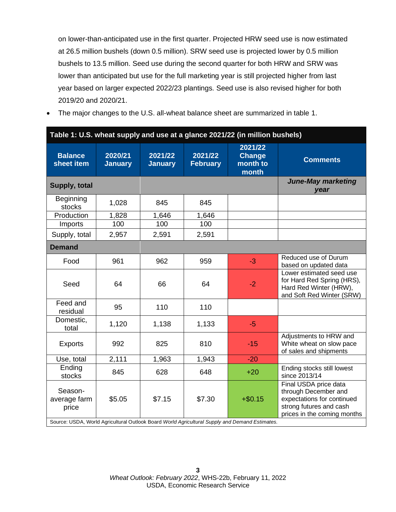on lower-than-anticipated use in the first quarter. Projected HRW seed use is now estimated at 26.5 million bushels (down 0.5 million). SRW seed use is projected lower by 0.5 million bushels to 13.5 million. Seed use during the second quarter for both HRW and SRW was lower than anticipated but use for the full marketing year is still projected higher from last year based on larger expected 2022/23 plantings. Seed use is also revised higher for both 2019/20 and 2020/21.

• The major changes to the U.S. all-wheat balance sheet are summarized in table 1.

| <b>Balance</b><br>sheet item     | 2020/21<br><b>January</b> | 2021/22<br><b>January</b> | 2021/22<br><b>February</b> | 2021/22<br><b>Change</b><br>month to<br>month                                                               | <b>Comments</b>                                                                                                                       |
|----------------------------------|---------------------------|---------------------------|----------------------------|-------------------------------------------------------------------------------------------------------------|---------------------------------------------------------------------------------------------------------------------------------------|
| Supply, total                    |                           |                           |                            |                                                                                                             | <b>June-May marketing</b><br>year                                                                                                     |
| <b>Beginning</b><br>stocks       | 1,028                     | 845                       | 845                        |                                                                                                             |                                                                                                                                       |
| Production                       | 1,828                     | 1,646                     | 1,646                      |                                                                                                             |                                                                                                                                       |
| Imports                          | 100                       | 100                       | 100                        |                                                                                                             |                                                                                                                                       |
| Supply, total                    | 2,957                     | 2,591                     | 2,591                      |                                                                                                             |                                                                                                                                       |
| <b>Demand</b>                    |                           |                           |                            |                                                                                                             |                                                                                                                                       |
| Food                             | 961                       | 962                       | 959                        | $-3$                                                                                                        | Reduced use of Durum<br>based on updated data                                                                                         |
| Seed                             | 64                        | 66                        | 64                         | $-2$                                                                                                        | Lower estimated seed use<br>for Hard Red Spring (HRS),<br>Hard Red Winter (HRW),<br>and Soft Red Winter (SRW)                         |
| Feed and<br>residual             | 95                        | 110                       | 110                        |                                                                                                             |                                                                                                                                       |
| Domestic,<br>total               | 1,120                     | 1,138                     | 1,133                      | $-5$                                                                                                        |                                                                                                                                       |
| <b>Exports</b>                   | 992                       | 825                       | 810                        | $-15$                                                                                                       | Adjustments to HRW and<br>White wheat on slow pace<br>of sales and shipments                                                          |
| Use, total                       | 2,111                     | 1,963                     | 1,943                      | $-20$                                                                                                       |                                                                                                                                       |
| Ending<br>stocks                 | 845                       | 628                       | 648                        | $+20$                                                                                                       | Ending stocks still lowest<br>since 2013/14                                                                                           |
| Season-<br>average farm<br>price | \$5.05                    | \$7.15                    | \$7.30                     | $+ $0.15$<br>Source: USDA, World Agricultural Outlook Board World Agricultural Supply and Demand Estimates. | Final USDA price data<br>through December and<br>expectations for continued<br>strong futures and cash<br>prices in the coming months |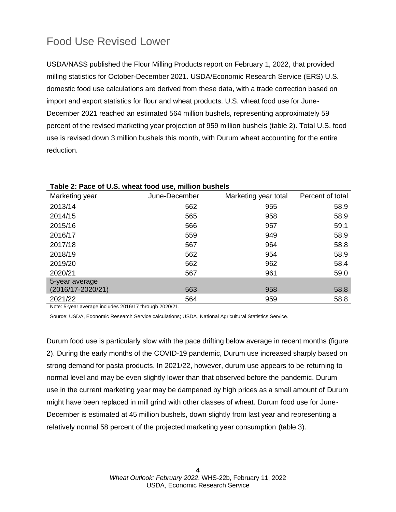### Food Use Revised Lower

USDA/NASS published the Flour Milling Products report on February 1, 2022, that provided milling statistics for October-December 2021. USDA/Economic Research Service (ERS) U.S. domestic food use calculations are derived from these data, with a trade correction based on import and export statistics for flour and wheat products. U.S. wheat food use for June-December 2021 reached an estimated 564 million bushels, representing approximately 59 percent of the revised marketing year projection of 959 million bushels (table 2). Total U.S. food use is revised down 3 million bushels this month, with Durum wheat accounting for the entire reduction.

| Marketing year        | June-December | Marketing year total | Percent of total |
|-----------------------|---------------|----------------------|------------------|
| 2013/14               | 562           | 955                  | 58.9             |
| 2014/15               | 565           | 958                  | 58.9             |
| 2015/16               | 566           | 957                  | 59.1             |
| 2016/17               | 559           | 949                  | 58.9             |
| 2017/18               | 567           | 964                  | 58.8             |
| 2018/19               | 562           | 954                  | 58.9             |
| 2019/20               | 562           | 962                  | 58.4             |
| 2020/21               | 567           | 961                  | 59.0             |
| 5-year average        |               |                      |                  |
| $(2016/17 - 2020/21)$ | 563           | 958                  | 58.8             |
| 2021/22               | 564           | 959                  | 58.8             |

#### **Table 2: Pace of U.S. wheat food use, million bushels**

Note: 5-year average includes 2016/17 through 2020/21.

Source: USDA, Economic Research Service calculations; USDA, National Agricultural Statistics Service.

Durum food use is particularly slow with the pace drifting below average in recent months (figure 2). During the early months of the COVID-19 pandemic, Durum use increased sharply based on strong demand for pasta products. In 2021/22, however, durum use appears to be returning to normal level and may be even slightly lower than that observed before the pandemic. Durum use in the current marketing year may be dampened by high prices as a small amount of Durum might have been replaced in mill grind with other classes of wheat. Durum food use for June-December is estimated at 45 million bushels, down slightly from last year and representing a relatively normal 58 percent of the projected marketing year consumption (table 3).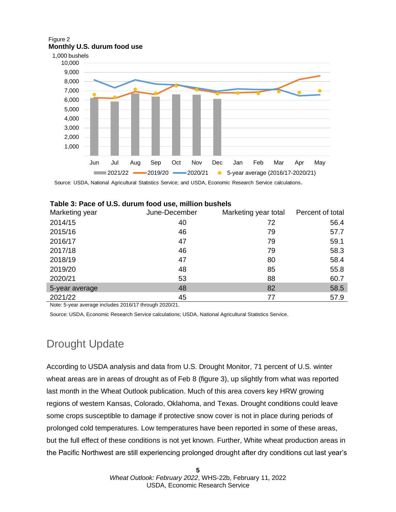#### Figure 2 **Monthly U.S. durum food use**



Source: USDA, National Agricultural Statistics Service; and USDA, Economic Research Service calculations.

| Marketing year | June-December | Marketing year total | Percent of total |  |  |  |  |
|----------------|---------------|----------------------|------------------|--|--|--|--|
| 2014/15        | 40            | 72                   | 56.4             |  |  |  |  |
| 2015/16        | 46            | 79                   | 57.7             |  |  |  |  |
| 2016/17        | 47            | 79                   | 59.1             |  |  |  |  |
| 2017/18        | 46            | 79                   | 58.3             |  |  |  |  |
| 2018/19        | 47            | 80                   | 58.4             |  |  |  |  |
| 2019/20        | 48            | 85                   | 55.8             |  |  |  |  |
| 2020/21        | 53            | 88                   | 60.7             |  |  |  |  |
| 5-year average | 48            | 82                   | 58.5             |  |  |  |  |
| 2021/22        | 45            | 77                   | 57.9             |  |  |  |  |

| Table 3: Pace of U.S. durum food use, million bushels |  |  |  |  |  |
|-------------------------------------------------------|--|--|--|--|--|
|-------------------------------------------------------|--|--|--|--|--|

Note: 5-year average includes 2016/17 through 2020/21.

Source: USDA, Economic Research Service calculations; USDA, National Agricultural Statistics Service.

### Drought Update

According to USDA analysis and data from U.S. Drought Monitor, 71 percent of U.S. winter wheat areas are in areas of drought as of Feb 8 (figure 3), up slightly from what was reported last month in the Wheat Outlook publication. Much of this area covers key HRW growing regions of western Kansas, Colorado, Oklahoma, and Texas. Drought conditions could leave some crops susceptible to damage if protective snow cover is not in place during periods of prolonged cold temperatures. Low temperatures have been reported in some of these areas, but the full effect of these conditions is not yet known. Further, White wheat production areas in the Pacific Northwest are still experiencing prolonged drought after dry conditions cut last year's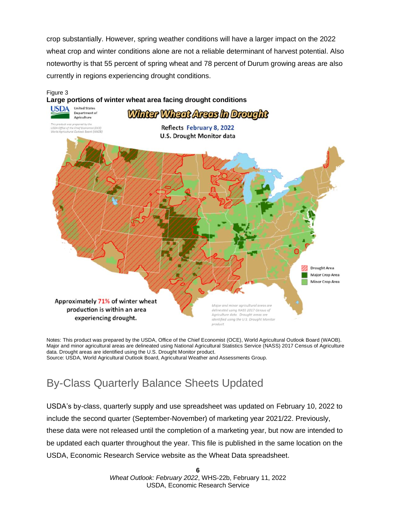crop substantially. However, spring weather conditions will have a larger impact on the 2022 wheat crop and winter conditions alone are not a reliable determinant of harvest potential. Also noteworthy is that 55 percent of spring wheat and 78 percent of Durum growing areas are also currently in regions experiencing drought conditions.



Notes: This product was prepared by the USDA, Office of the Chief Economist (OCE), World Agricultural Outlook Board (WAOB). Major and minor agricultural areas are delineated using National Agricultural Statistics Service (NASS) 2017 Census of Agriculture data. Drought areas are identified using the U.S. Drought Monitor product. Source: USDA, World Agricultural Outlook Board, Agricultural Weather and Assessments Group.

### By-Class Quarterly Balance Sheets Updated

USDA's by-class, quarterly supply and use spreadsheet was updated on February 10, 2022 to include the second quarter (September-November) of marketing year 2021/22. Previously, these data were not released until the completion of a marketing year, but now are intended to be updated each quarter throughout the year. This file is published in the same location on the USDA, Economic Research Service website as the Wheat Data spreadsheet.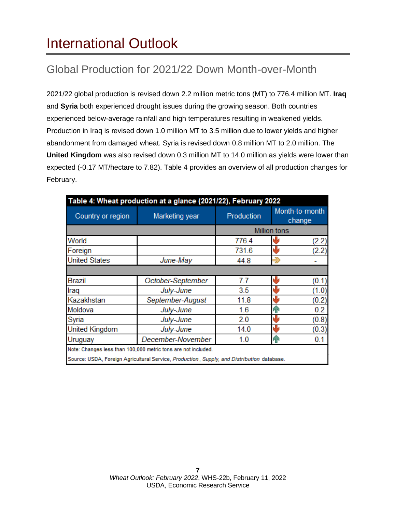## <span id="page-6-0"></span>International Outlook

### Global Production for 2021/22 Down Month-over-Month

2021/22 global production is revised down 2.2 million metric tons (MT) to 776.4 million MT. **Iraq**  and **Syria** both experienced drought issues during the growing season. Both countries experienced below-average rainfall and high temperatures resulting in weakened yields. Production in Iraq is revised down 1.0 million MT to 3.5 million due to lower yields and higher abandonment from damaged wheat. Syria is revised down 0.8 million MT to 2.0 million. The **United Kingdom** was also revised down 0.3 million MT to 14.0 million as yields were lower than expected (-0.17 MT/hectare to 7.82). Table 4 provides an overview of all production changes for February.

| Table 4: Wheat production at a glance (2021/22), February 2022 |                                                                                            |            |     |                          |  |  |  |
|----------------------------------------------------------------|--------------------------------------------------------------------------------------------|------------|-----|--------------------------|--|--|--|
| Country or region<br>Marketing year                            |                                                                                            | Production |     | Month-to-month<br>change |  |  |  |
|                                                                | <b>Million tons</b>                                                                        |            |     |                          |  |  |  |
| World                                                          |                                                                                            | 776.4      |     | (2.2)                    |  |  |  |
| Foreign                                                        |                                                                                            | 731.6      |     | (2.2)                    |  |  |  |
| <b>United States</b>                                           | June-May                                                                                   | 44.8       | Ð   |                          |  |  |  |
|                                                                |                                                                                            |            |     |                          |  |  |  |
| <b>Brazil</b>                                                  | October-September                                                                          | 7.7        |     | (0.1)                    |  |  |  |
| Iraq                                                           | July-June                                                                                  | 3.5        |     | (1.0)                    |  |  |  |
| Kazakhstan                                                     | September-August                                                                           | 11.8       |     | (0.2)                    |  |  |  |
| Moldova<br>July-June                                           |                                                                                            | 1.6        | ሞ   | 0.2 <sub>0</sub>         |  |  |  |
| Syria<br>July-June                                             |                                                                                            | 2.0        | تال | (0.8)                    |  |  |  |
| <b>United Kingdom</b><br>July-June                             |                                                                                            | 14.0       |     | (0.3)                    |  |  |  |
| Uruguay                                                        | December-November                                                                          | 1.0        | ሞ   | 0.1                      |  |  |  |
|                                                                | Note: Changes less than 100,000 metric tons are not included.                              |            |     |                          |  |  |  |
|                                                                | Source: USDA, Foreign Agricultural Service, Production, Supply, and Distribution database. |            |     |                          |  |  |  |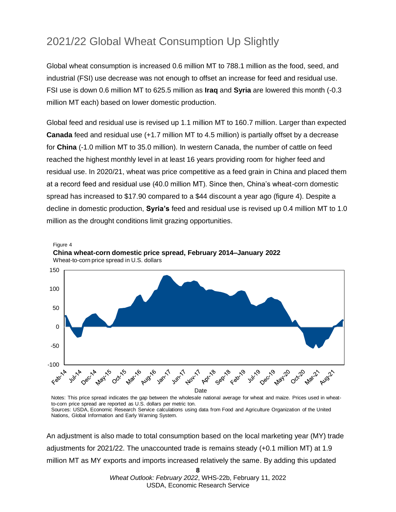### 2021/22 Global Wheat Consumption Up Slightly

Global wheat consumption is increased 0.6 million MT to 788.1 million as the food, seed, and industrial (FSI) use decrease was not enough to offset an increase for feed and residual use. FSI use is down 0.6 million MT to 625.5 million as **Iraq** and **Syria** are lowered this month (-0.3 million MT each) based on lower domestic production.

Global feed and residual use is revised up 1.1 million MT to 160.7 million. Larger than expected **Canada** feed and residual use (+1.7 million MT to 4.5 million) is partially offset by a decrease for **China** (-1.0 million MT to 35.0 million). In western Canada, the number of cattle on feed reached the highest monthly level in at least 16 years providing room for higher feed and residual use. In 2020/21, wheat was price competitive as a feed grain in China and placed them at a record feed and residual use (40.0 million MT). Since then, China's wheat-corn domestic spread has increased to \$17.90 compared to a \$44 discount a year ago (figure 4). Despite a decline in domestic production, **Syria's** feed and residual use is revised up 0.4 million MT to 1.0 million as the drought conditions limit grazing opportunities.



Notes: This price spread indicates the gap between the wholesale national average for wheat and maize. Prices used in wheatto-corn price spread are reported as U.S. dollars per metric ton. Sources: USDA, Economic Research Service calculations using data from Food and Agriculture Organization of the United Nations, Global Information and Early Warning System.

An adjustment is also made to total consumption based on the local marketing year (MY) trade adjustments for 2021/22. The unaccounted trade is remains steady (+0.1 million MT) at 1.9 million MT as MY exports and imports increased relatively the same. By adding this updated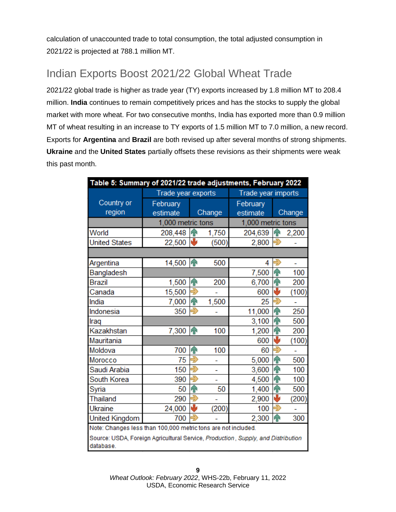calculation of unaccounted trade to total consumption, the total adjusted consumption in 2021/22 is projected at 788.1 million MT.

### Indian Exports Boost 2021/22 Global Wheat Trade

2021/22 global trade is higher as trade year (TY) exports increased by 1.8 million MT to 208.4 million. **India** continues to remain competitively prices and has the stocks to supply the global market with more wheat. For two consecutive months, India has exported more than 0.9 million MT of wheat resulting in an increase to TY exports of 1.5 million MT to 7.0 million, a new record. Exports for **Argentina** and **Brazil** are both revised up after several months of strong shipments. **Ukraine** and the **United States** partially offsets these revisions as their shipments were weak this past month.

| Table 5: Summary of 2021/22 trade adjustments, February 2022                                  |                    |                   |                    |                   |               |        |
|-----------------------------------------------------------------------------------------------|--------------------|-------------------|--------------------|-------------------|---------------|--------|
|                                                                                               | Trade year exports |                   | Trade year imports |                   |               |        |
| Country or                                                                                    | February           |                   |                    | February          |               |        |
| region                                                                                        | estimate           |                   | Change             | estimate          |               | Change |
|                                                                                               | 1,000 metric tons  |                   |                    | 1,000 metric tons |               |        |
| World                                                                                         | 208,448            | hР                | 1,750              | 204,639           | ИP            | 2,200  |
| <b>United States</b>                                                                          | 22,500             | ₩                 | (500)              | 2,800             |               |        |
|                                                                                               |                    |                   |                    |                   |               |        |
| Argentina                                                                                     | 14,500 个           |                   | 500                | 4                 |               |        |
| Bangladesh                                                                                    |                    |                   |                    | 7,500             | h P           | 100    |
| <b>Brazil</b>                                                                                 | 1,500              | 仆                 | 200                | 6,700             | Яñ            | 200    |
| Canada                                                                                        | 15,500             | Ę                 |                    | 600               | ۰Ŀ            | (100)  |
| India                                                                                         | 7,000              | m                 | 1,500              | 25                |               |        |
| Indonesia                                                                                     | 350                | 5                 |                    | 11,000            | Яñ            | 250    |
| Iraq                                                                                          |                    |                   |                    | 3,100             | Яñ            | 500    |
| Kazakhstan                                                                                    | 7,300              | h                 | 100                | 1,200             | ብ             | 200    |
| Mauritania                                                                                    |                    |                   |                    | 600               |               | (100)  |
| Moldova                                                                                       | 700                | $\bf \hat{\bf r}$ | 100                | 60                | Ę             |        |
| Morocco                                                                                       | 75                 | Ę                 |                    | 5,000             | <sub>IP</sub> | 500    |
| Saudi Arabia                                                                                  | 150                | £                 |                    | 3,600             | h             | 100    |
| South Korea                                                                                   | 390                | Ð                 |                    | 4,500             | hР            | 100    |
| Syria                                                                                         | 50                 | <sub>IP</sub>     | 50                 | 1,400             | <b>TP</b>     | 500    |
| Thailand                                                                                      | 290                | Ę                 |                    | 2,900             |               | (200)  |
| <b>Ukraine</b>                                                                                | 24,000             | J                 | (200)              | 100               |               |        |
| <b>United Kingdom</b>                                                                         | 700                |                   |                    | 2,300             | $\sqrt{1}$    | 300    |
| Note: Changes less than 100,000 metric tons are not included.                                 |                    |                   |                    |                   |               |        |
| Source: USDA, Foreign Agricultural Service, Production, Supply, and Distribution<br>database. |                    |                   |                    |                   |               |        |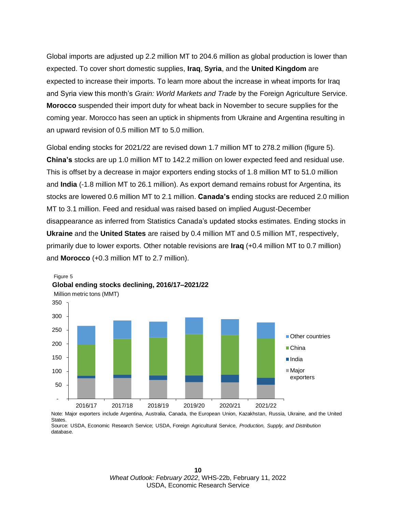Global imports are adjusted up 2.2 million MT to 204.6 million as global production is lower than expected. To cover short domestic supplies, **Iraq**, **Syria**, and the **United Kingdom** are expected to increase their imports. To learn more about the increase in wheat imports for Iraq and Syria view this month's *Grain: World Markets and Trade* by the Foreign Agriculture Service. **Morocco** suspended their import duty for wheat back in November to secure supplies for the coming year. Morocco has seen an uptick in shipments from Ukraine and Argentina resulting in an upward revision of 0.5 million MT to 5.0 million.

Global ending stocks for 2021/22 are revised down 1.7 million MT to 278.2 million (figure 5). **China's** stocks are up 1.0 million MT to 142.2 million on lower expected feed and residual use. This is offset by a decrease in major exporters ending stocks of 1.8 million MT to 51.0 million and **India** (-1.8 million MT to 26.1 million). As export demand remains robust for Argentina, its stocks are lowered 0.6 million MT to 2.1 million. **Canada's** ending stocks are reduced 2.0 million MT to 3.1 million. Feed and residual was raised based on implied August-December disappearance as inferred from Statistics Canada's updated stocks estimates. Ending stocks in **Ukraine** and the **United States** are raised by 0.4 million MT and 0.5 million MT, respectively, primarily due to lower exports. Other notable revisions are **Iraq** (+0.4 million MT to 0.7 million) and **Morocco** (+0.3 million MT to 2.7 million).



States. Source: USDA, Economic Research Service; USDA, Foreign Agricultural Service, *Production, Supply, and Distribution*  database.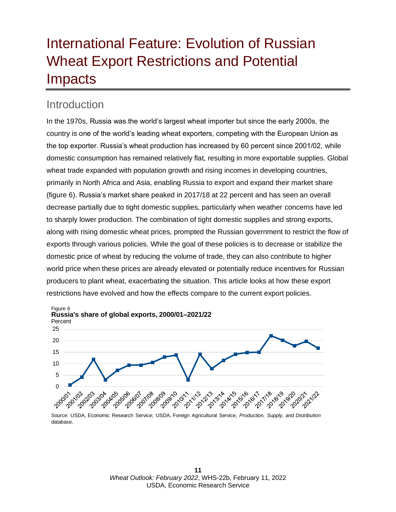## <span id="page-10-0"></span>International Feature: Evolution of Russian Wheat Export Restrictions and Potential **Impacts**

### **Introduction**

In the 1970s, Russia was the world's largest wheat importer but since the early 2000s, the country is one of the world's leading wheat exporters, competing with the European Union as the top exporter. Russia's wheat production has increased by 60 percent since 2001/02, while domestic consumption has remained relatively flat, resulting in more exportable supplies. Global wheat trade expanded with population growth and rising incomes in developing countries, primarily in North Africa and Asia, enabling Russia to export and expand their market share (figure 6). Russia's market share peaked in 2017/18 at 22 percent and has seen an overall decrease partially due to tight domestic supplies, particularly when weather concerns have led to sharply lower production. The combination of tight domestic supplies and strong exports, along with rising domestic wheat prices, prompted the Russian government to restrict the flow of exports through various policies. While the goal of these policies is to decrease or stabilize the domestic price of wheat by reducing the volume of trade, they can also contribute to higher world price when these prices are already elevated or potentially reduce incentives for Russian producers to plant wheat, exacerbating the situation. This article looks at how these export restrictions have evolved and how the effects compare to the current export policies.



database.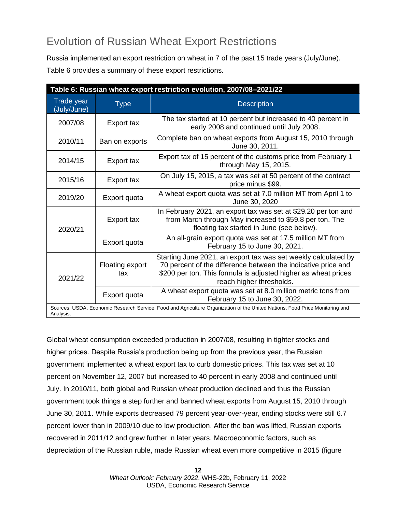### Evolution of Russian Wheat Export Restrictions

Russia implemented an export restriction on wheat in 7 of the past 15 trade years (July/June).

Table 6 provides a summary of these export restrictions.

| Table 6: Russian wheat export restriction evolution, 2007/08-2021/22 |                        |                                                                                                                                                                                                                               |  |  |  |
|----------------------------------------------------------------------|------------------------|-------------------------------------------------------------------------------------------------------------------------------------------------------------------------------------------------------------------------------|--|--|--|
| Trade year<br>(July/June)                                            | <b>Type</b>            | <b>Description</b>                                                                                                                                                                                                            |  |  |  |
| 2007/08                                                              | Export tax             | The tax started at 10 percent but increased to 40 percent in<br>early 2008 and continued until July 2008.                                                                                                                     |  |  |  |
| 2010/11                                                              | Ban on exports         | Complete ban on wheat exports from August 15, 2010 through<br>June 30, 2011.                                                                                                                                                  |  |  |  |
| 2014/15                                                              | Export tax             | Export tax of 15 percent of the customs price from February 1<br>through May 15, 2015.                                                                                                                                        |  |  |  |
| 2015/16                                                              | Export tax             | On July 15, 2015, a tax was set at 50 percent of the contract<br>price minus \$99.                                                                                                                                            |  |  |  |
| 2019/20                                                              | Export quota           | A wheat export quota was set at 7.0 million MT from April 1 to<br>June 30, 2020                                                                                                                                               |  |  |  |
| 2020/21                                                              | Export tax             | In February 2021, an export tax was set at \$29.20 per ton and<br>from March through May increased to \$59.8 per ton. The<br>floating tax started in June (see below).                                                        |  |  |  |
|                                                                      | Export quota           | An all-grain export quota was set at 17.5 million MT from<br>February 15 to June 30, 2021.                                                                                                                                    |  |  |  |
| 2021/22                                                              | Floating export<br>tax | Starting June 2021, an export tax was set weekly calculated by<br>70 percent of the difference between the indicative price and<br>\$200 per ton. This formula is adjusted higher as wheat prices<br>reach higher thresholds. |  |  |  |
|                                                                      | Export quota           | A wheat export quota was set at 8.0 million metric tons from<br>February 15 to June 30, 2022.                                                                                                                                 |  |  |  |
| Analysis.                                                            |                        | Sources: USDA, Economic Research Service; Food and Agriculture Organization of the United Nations, Food Price Monitoring and                                                                                                  |  |  |  |

Global wheat consumption exceeded production in 2007/08, resulting in tighter stocks and higher prices. Despite Russia's production being up from the previous year, the Russian government implemented a wheat export tax to curb domestic prices. This tax was set at 10 percent on November 12, 2007 but increased to 40 percent in early 2008 and continued until July. In 2010/11, both global and Russian wheat production declined and thus the Russian government took things a step further and banned wheat exports from August 15, 2010 through June 30, 2011. While exports decreased 79 percent year-over-year, ending stocks were still 6.7 percent lower than in 2009/10 due to low production. After the ban was lifted, Russian exports recovered in 2011/12 and grew further in later years. Macroeconomic factors, such as depreciation of the Russian ruble, made Russian wheat even more competitive in 2015 (figure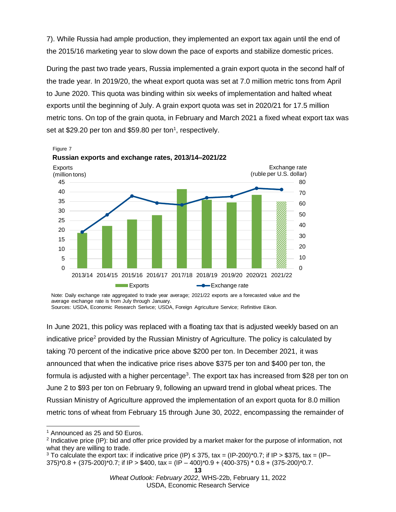7). While Russia had ample production, they implemented an export tax again until the end of the 2015/16 marketing year to slow down the pace of exports and stabilize domestic prices.

During the past two trade years, Russia implemented a grain export quota in the second half of the trade year. In 2019/20, the wheat export quota was set at 7.0 million metric tons from April to June 2020. This quota was binding within six weeks of implementation and halted wheat exports until the beginning of July. A grain export quota was set in 2020/21 for 17.5 million metric tons. On top of the grain quota, in February and March 2021 a fixed wheat export tax was set at \$29.20 per ton and \$59.80 per ton<sup>1</sup>, respectively.



Note: Daily exchange rate aggregated to trade year average; 2021/22 exports are a forecasted value and the average exchange rate is from July through January.

Sources: USDA, Economic Research Serivce; USDA, Foreign Agriculture Service; Refinitive Eikon.

In June 2021, this policy was replaced with a floating tax that is adjusted weekly based on an indicative price<sup>2</sup> provided by the Russian Ministry of Agriculture. The policy is calculated by taking 70 percent of the indicative price above \$200 per ton. In December 2021, it was announced that when the indicative price rises above \$375 per ton and \$400 per ton, the formula is adjusted with a higher percentage<sup>3</sup>. The export tax has increased from \$28 per ton on June 2 to \$93 per ton on February 9, following an upward trend in global wheat prices. The Russian Ministry of Agriculture approved the implementation of an export quota for 8.0 million metric tons of wheat from February 15 through June 30, 2022, encompassing the remainder of

<sup>&</sup>lt;sup>1</sup> Announced as 25 and 50 Euros.

<sup>&</sup>lt;sup>2</sup> Indicative price (IP): bid and offer price provided by a market maker for the purpose of information, not what they are willing to trade.

<sup>&</sup>lt;sup>3</sup> To calculate the export tax: if indicative price (IP) ≤ 375, tax = (IP-200)\*0.7; if IP > \$375, tax = (IP- $375$ <sup>\*</sup>0.8 +  $(375-200)$ <sup>\*</sup>0.7; if IP > \$400, tax =  $(IP - 400)$ <sup>\*</sup>0.9 +  $(400-375)$ <sup>\*</sup> 0.8 +  $(375-200)$ <sup>\*</sup>0.7.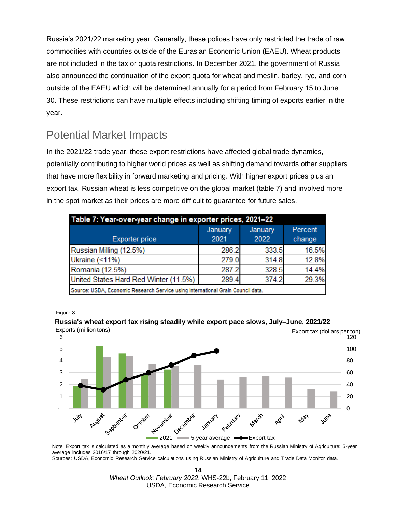Russia's 2021/22 marketing year. Generally, these polices have only restricted the trade of raw commodities with countries outside of the Eurasian Economic Union (EAEU). Wheat products are not included in the tax or quota restrictions. In December 2021, the government of Russia also announced the continuation of the export quota for wheat and meslin, barley, rye, and corn outside of the EAEU which will be determined annually for a period from February 15 to June 30. These restrictions can have multiple effects including shifting timing of exports earlier in the year.

### Potential Market Impacts

In the 2021/22 trade year, these export restrictions have affected global trade dynamics, potentially contributing to higher world prices as well as shifting demand towards other suppliers that have more flexibility in forward marketing and pricing. With higher export prices plus an export tax, Russian wheat is less competitive on the global market (table 7) and involved more in the spot market as their prices are more difficult to guarantee for future sales.

| Table 7: Year-over-year change in exporter prices, 2021-22                      |                 |                 |                   |  |  |  |
|---------------------------------------------------------------------------------|-----------------|-----------------|-------------------|--|--|--|
| <b>Exporter price</b>                                                           | January<br>2021 | January<br>2022 | Percent<br>change |  |  |  |
| Russian Milling (12.5%)                                                         | 286.2           | 333.5           | 16.5%             |  |  |  |
| Ukraine (<11%)                                                                  | 279.0           | 314.8           | 12.8%             |  |  |  |
| Romania (12.5%)                                                                 | 287.2           | 328.5           | 14.4%             |  |  |  |
| United States Hard Red Winter (11.5%)                                           | 289.4           | 374.2           | 29.3%             |  |  |  |
| Source: USDA, Economic Research Service using International Grain Council data. |                 |                 |                   |  |  |  |

Figure 8

#### **Russia's wheat export tax rising steadily while export pace slows, July–June, 2021/22**



Note: Export tax is calculated as a monthly average based on weekly announcements from the Russian Ministry of Agriculture; 5-year average includes 2016/17 through 2020/21.

Sources: USDA, Economic Research Service calculations using Russian Ministry of Agriculture and Trade Data Monitor data.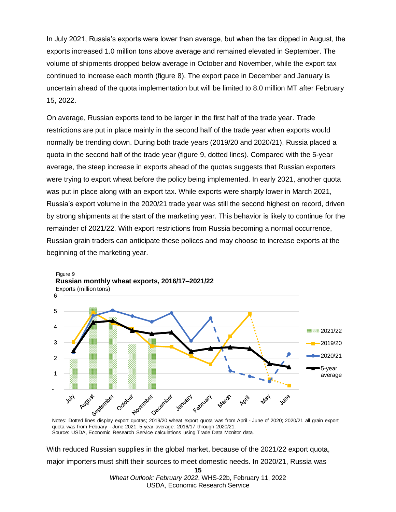In July 2021, Russia's exports were lower than average, but when the tax dipped in August, the exports increased 1.0 million tons above average and remained elevated in September. The volume of shipments dropped below average in October and November, while the export tax continued to increase each month (figure 8). The export pace in December and January is uncertain ahead of the quota implementation but will be limited to 8.0 million MT after February 15, 2022.

On average, Russian exports tend to be larger in the first half of the trade year. Trade restrictions are put in place mainly in the second half of the trade year when exports would normally be trending down. During both trade years (2019/20 and 2020/21), Russia placed a quota in the second half of the trade year (figure 9, dotted lines). Compared with the 5-year average, the steep increase in exports ahead of the quotas suggests that Russian exporters were trying to export wheat before the policy being implemented. In early 2021, another quota was put in place along with an export tax. While exports were sharply lower in March 2021, Russia's export volume in the 2020/21 trade year was still the second highest on record, driven by strong shipments at the start of the marketing year. This behavior is likely to continue for the remainder of 2021/22. With export restrictions from Russia becoming a normal occurrence, Russian grain traders can anticipate these polices and may choose to increase exports at the beginning of the marketing year.



quota was from Febuary - June 2021; 5-year average: 2016/17 through 2020/21. Source: USDA, Economic Research Service calculations using Trade Data Monitor data.

With reduced Russian supplies in the global market, because of the 2021/22 export quota, major importers must shift their sources to meet domestic needs. In 2020/21, Russia was

**<sup>15</sup>**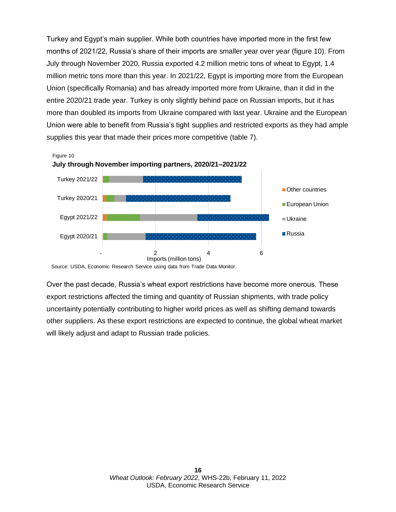Turkey and Egypt's main supplier. While both countries have imported more in the first few months of 2021/22, Russia's share of their imports are smaller year over year (figure 10). From July through November 2020, Russia exported 4.2 million metric tons of wheat to Egypt, 1.4 million metric tons more than this year. In 2021/22, Egypt is importing more from the European Union (specifically Romania) and has already imported more from Ukraine, than it did in the entire 2020/21 trade year. Turkey is only slightly behind pace on Russian imports, but it has more than doubled its imports from Ukraine compared with last year. Ukraine and the European Union were able to benefit from Russia's tight supplies and restricted exports as they had ample supplies this year that made their prices more competitive (table 7).



Source: USDA, Economic Research Service using data from Trade Data Monitor.

Over the past decade, Russia's wheat export restrictions have become more onerous. These export restrictions affected the timing and quantity of Russian shipments, with trade policy uncertainty potentially contributing to higher world prices as well as shifting demand towards other suppliers. As these export restrictions are expected to continue, the global wheat market will likely adjust and adapt to Russian trade policies.